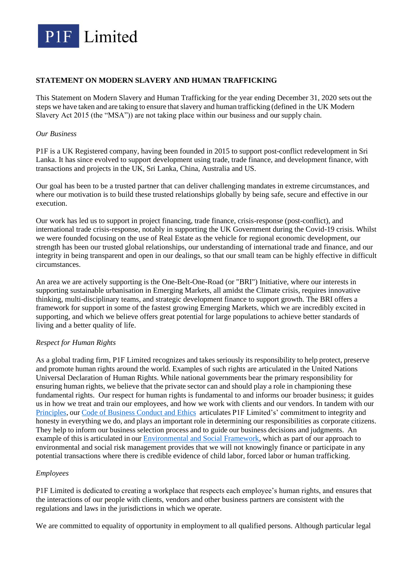

# **STATEMENT ON MODERN SLAVERY AND HUMAN TRAFFICKING**

This Statement on Modern Slavery and Human Trafficking for the year ending December 31, 2020 sets out the steps we have taken and are taking to ensure that slavery and human trafficking (defined in the UK Modern Slavery Act 2015 (the "MSA")) are not taking place within our business and our supply chain.

## *Our Business*

P1F is a UK Registered company, having been founded in 2015 to support post-conflict redevelopment in Sri Lanka. It has since evolved to support development using trade, trade finance, and development finance, with transactions and projects in the UK, Sri Lanka, China, Australia and US.

Our goal has been to be a trusted partner that can deliver challenging mandates in extreme circumstances, and where our motivation is to build these trusted relationships globally by being safe, secure and effective in our execution.

Our work has led us to support in project financing, trade finance, crisis-response (post-conflict), and international trade crisis-response, notably in supporting the UK Government during the Covid-19 crisis. Whilst we were founded focusing on the use of Real Estate as the vehicle for regional economic development, our strength has been our trusted global relationships, our understanding of international trade and finance, and our integrity in being transparent and open in our dealings, so that our small team can be highly effective in difficult circumstances.

An area we are actively supporting is the One-Belt-One-Road (or "BRI") Initiative, where our interests in supporting sustainable urbanisation in Emerging Markets, all amidst the Climate crisis, requires innovative thinking, multi-disciplinary teams, and strategic development finance to support growth. The BRI offers a framework for support in some of the fastest growing Emerging Markets, which we are incredibly excited in supporting, and which we believe offers great potential for large populations to achieve better standards of living and a better quality of life.

## *Respect for Human Rights*

As a global trading firm, P1F Limited recognizes and takes seriously its responsibility to help protect, preserve and promote human rights around the world. Examples of such rights are articulated in the United Nations Universal Declaration of Human Rights. While national governments bear the primary responsibility for ensuring human rights, we believe that the private sector can and should play a role in championing these fundamental rights. Our respect for human rights is fundamental to and informs our broader business; it guides us in how we treat and train our employees, and how we work with clients and our vendors. In tandem with our [Principles,](https://www.p1f-ltd.com/principles) our [Code of Business Conduct and Ethics](https://d7d30ea4-e8da-415f-a275-44b62d39aeb7.filesusr.com/ugd/712b98_16c7bdd6e69840c4be5a78663c6bb298.pdf) articulates P1F Limited's' commitment to integrity and honesty in everything we do, and plays an important role in determining our responsibilities as corporate citizens. They help to inform our business selection process and to guide our business decisions and judgments. An example of this is articulated in our [Environmental and Social Framework,](https://d7d30ea4-e8da-415f-a275-44b62d39aeb7.filesusr.com/ugd/712b98_e87752a18f1c4ac5a3c16a2ec6353d14.pdf) which as part of our approach to environmental and social risk management provides that we will not knowingly finance or participate in any potential transactions where there is credible evidence of child labor, forced labor or human trafficking.

## *Employees*

P1F Limited is dedicated to creating a workplace that respects each employee's human rights, and ensures that the interactions of our people with clients, vendors and other business partners are consistent with the regulations and laws in the jurisdictions in which we operate.

We are committed to equality of opportunity in employment to all qualified persons. Although particular legal